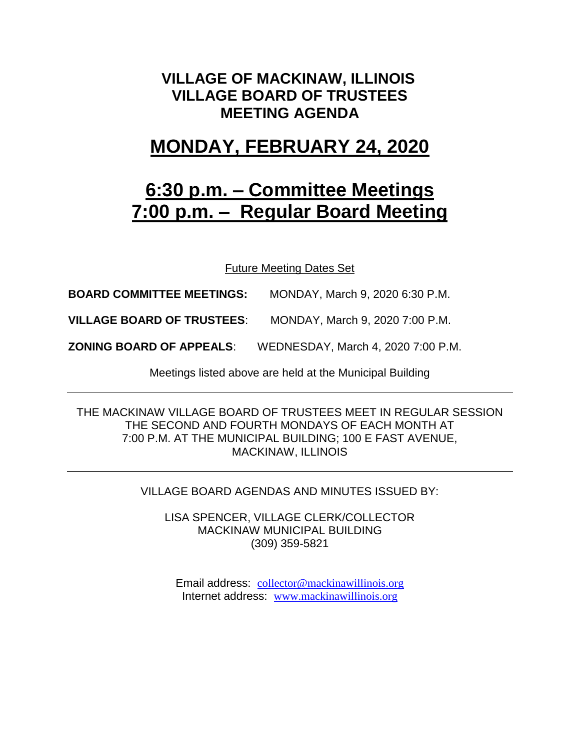#### **VILLAGE OF MACKINAW, ILLINOIS VILLAGE BOARD OF TRUSTEES MEETING AGENDA**

## **MONDAY, FEBRUARY 24, 2020**

## **6:30 p.m. – Committee Meetings 7:00 p.m. – Regular Board Meeting**

Future Meeting Dates Set

**BOARD COMMITTEE MEETINGS:** MONDAY, March 9, 2020 6:30 P.M.

**VILLAGE BOARD OF TRUSTEES**: MONDAY, March 9, 2020 7:00 P.M.

**ZONING BOARD OF APPEALS**: WEDNESDAY, March 4, 2020 7:00 P.M.

Meetings listed above are held at the Municipal Building

THE MACKINAW VILLAGE BOARD OF TRUSTEES MEET IN REGULAR SESSION THE SECOND AND FOURTH MONDAYS OF EACH MONTH AT 7:00 P.M. AT THE MUNICIPAL BUILDING; 100 E FAST AVENUE, MACKINAW, ILLINOIS

VILLAGE BOARD AGENDAS AND MINUTES ISSUED BY:

LISA SPENCER, VILLAGE CLERK/COLLECTOR MACKINAW MUNICIPAL BUILDING (309) 359-5821

Email address: [collector@mackinawillinois.org](mailto:collector@mackinawillinois.org) Internet address: [www.mackinawillinois.org](http://www.mackinawillinois.org/)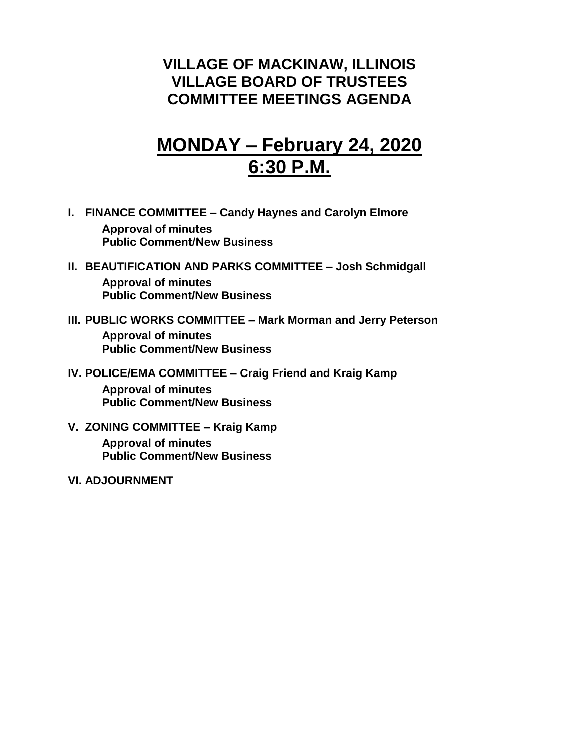#### **VILLAGE OF MACKINAW, ILLINOIS VILLAGE BOARD OF TRUSTEES COMMITTEE MEETINGS AGENDA**

# **MONDAY – February 24, 2020 6:30 P.M.**

- **I. FINANCE COMMITTEE – Candy Haynes and Carolyn Elmore Approval of minutes Public Comment/New Business**
- **II. BEAUTIFICATION AND PARKS COMMITTEE – Josh Schmidgall Approval of minutes Public Comment/New Business**
- **III. PUBLIC WORKS COMMITTEE – Mark Morman and Jerry Peterson Approval of minutes Public Comment/New Business**
- **IV. POLICE/EMA COMMITTEE – Craig Friend and Kraig Kamp Approval of minutes Public Comment/New Business**
- **V. ZONING COMMITTEE – Kraig Kamp Approval of minutes Public Comment/New Business**
- **VI. ADJOURNMENT**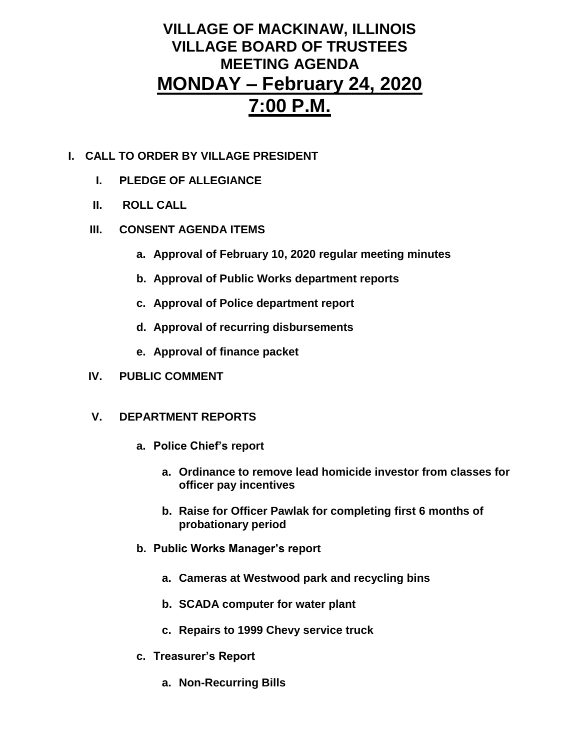### **VILLAGE OF MACKINAW, ILLINOIS VILLAGE BOARD OF TRUSTEES MEETING AGENDA MONDAY – February 24, 2020 7:00 P.M.**

- **I. CALL TO ORDER BY VILLAGE PRESIDENT**
	- **I. PLEDGE OF ALLEGIANCE**
	- **II. ROLL CALL**
	- **III. CONSENT AGENDA ITEMS** 
		- **a. Approval of February 10, 2020 regular meeting minutes**
		- **b. Approval of Public Works department reports**
		- **c. Approval of Police department report**
		- **d. Approval of recurring disbursements**
		- **e. Approval of finance packet**
	- **IV. PUBLIC COMMENT**
	- **V. DEPARTMENT REPORTS** 
		- **a. Police Chief's report**
			- **a. Ordinance to remove lead homicide investor from classes for officer pay incentives**
			- **b. Raise for Officer Pawlak for completing first 6 months of probationary period**
		- **b. Public Works Manager's report**
			- **a. Cameras at Westwood park and recycling bins**
			- **b. SCADA computer for water plant**
			- **c. Repairs to 1999 Chevy service truck**
		- **c. Treasurer's Report** 
			- **a. Non-Recurring Bills**